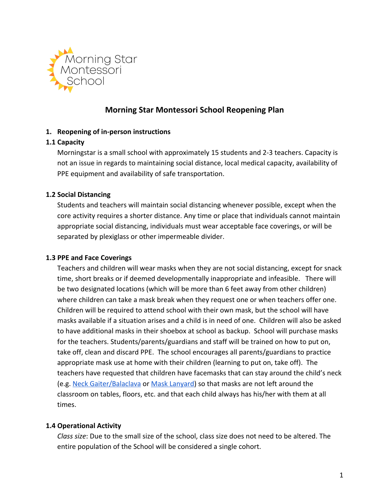

# **Morning Star Montessori School Reopening Plan**

### **1. Reopening of in-person instructions**

### **1.1 Capacity**

Morningstar is a small school with approximately 15 students and 2-3 teachers. Capacity is not an issue in regards to maintaining social distance, local medical capacity, availability of PPE equipment and availability of safe transportation.

### **1.2 Social Distancing**

Students and teachers will maintain social distancing whenever possible, except when the core activity requires a shorter distance. Any time or place that individuals cannot maintain appropriate social distancing, individuals must wear acceptable face coverings, or will be separated by plexiglass or other impermeable divider.

### **1.3 PPE and Face Coverings**

Teachers and children will wear masks when they are not social distancing, except for snack time, short breaks or if deemed developmentally inappropriate and infeasible. There will be two designated locations (which will be more than 6 feet away from other children) where children can take a mask break when they request one or when teachers offer one. Children will be required to attend school with their own mask, but the school will have masks available if a situation arises and a child is in need of one. Children will also be asked to have additional masks in their shoebox at school as backup. School will purchase masks for the teachers. Students/parents/guardians and staff will be trained on how to put on, take off, clean and discard PPE. The school encourages all parents/guardians to practice appropriate mask use at home with their children (learning to put on, take off). The teachers have requested that children have facemasks that can stay around the child's neck (e.g. [Neck Gaiter/Balaclava](https://www.amazon.com/dp/B0878X6672?creativeASIN=B087C59FPT&imprToken=EtFVSbutA-PbDJF9E15Xlw&slotNum=5&tag=fatherly-kidsfacemasks-20&linkCode=ogi&th=1&psc=1) or [Mask Lanyard\)](https://www.etsy.com/listing/809510039/mask-lanyard-w-ear-saver-back-to-school?gpla=1&gao=1&&utm_source=google&utm_medium=cpc&utm_campaign=shopping_us_b-bath_and_beauty-personal_care-face_masks_and_coverings&utm_custom1=6a734a2b-c876-4cd4-a2da-732f2590aff4&utm_content=go_10111197568_98761787462_436894229643_pla-908906428531_c__809510039&utm_custom2=10111197568&gclid=CjwKCAjwmf_4BRABEiwAGhDfSYSOMa4htRt3jbBdhjrgWf8ZOVdDZE8nTvBXTjtMd2_gFC3P_UuA6xoCU5gQAvD_BwE) so that masks are not left around the classroom on tables, floors, etc. and that each child always has his/her with them at all times.

### **1.4 Operational Activity**

*Class size*: Due to the small size of the school, class size does not need to be altered. The entire population of the School will be considered a single cohort.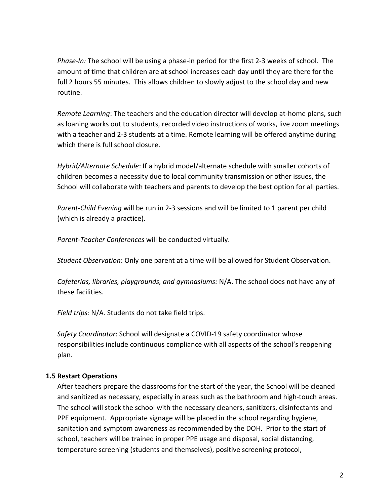*Phase-In:* The school will be using a phase-in period for the first 2-3 weeks of school. The amount of time that children are at school increases each day until they are there for the full 2 hours 55 minutes. This allows children to slowly adjust to the school day and new routine.

*Remote Learning*: The teachers and the education director will develop at-home plans, such as loaning works out to students, recorded video instructions of works, live zoom meetings with a teacher and 2-3 students at a time. Remote learning will be offered anytime during which there is full school closure.

*Hybrid/Alternate Schedule*: If a hybrid model/alternate schedule with smaller cohorts of children becomes a necessity due to local community transmission or other issues, the School will collaborate with teachers and parents to develop the best option for all parties.

*Parent-Child Evening* will be run in 2-3 sessions and will be limited to 1 parent per child (which is already a practice).

*Parent-Teacher Conferences* will be conducted virtually.

*Student Observation*: Only one parent at a time will be allowed for Student Observation.

*Cafeterias, libraries, playgrounds, and gymnasiums:* N/A. The school does not have any of these facilities.

*Field trips:* N/A. Students do not take field trips.

*Safety Coordinator*: School will designate a COVID-19 safety coordinator whose responsibilities include continuous compliance with all aspects of the school's reopening plan.

### **1.5 Restart Operations**

After teachers prepare the classrooms for the start of the year, the School will be cleaned and sanitized as necessary, especially in areas such as the bathroom and high-touch areas. The school will stock the school with the necessary cleaners, sanitizers, disinfectants and PPE equipment. Appropriate signage will be placed in the school regarding hygiene, sanitation and symptom awareness as recommended by the DOH. Prior to the start of school, teachers will be trained in proper PPE usage and disposal, social distancing, temperature screening (students and themselves), positive screening protocol,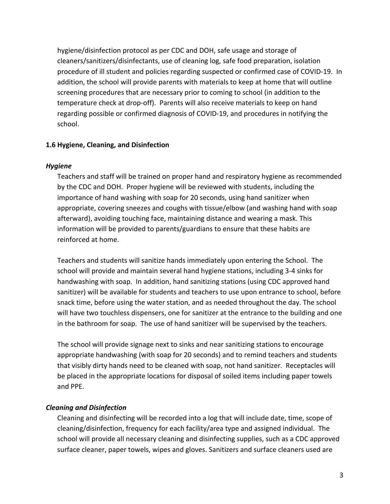hygiene/disinfection protocol as per CDC and DOH, safe usage and storage of cleaners/sanitizers/disinfectants, use of cleaning log, safe food preparation, isolation procedure of ill student and policies regarding suspected or confirmed case of COVID-19. In addition, the school will provide parents with materials to keep at home that will outline screening procedures that are necessary prior to coming to school (in addition to the temperature check at drop-off). Parents will also receive materials to keep on hand regarding possible or confirmed diagnosis of COVID-19, and procedures in notifying the school.

### **1.6 Hygiene, Cleaning, and Disinfection**

### *Hygiene*

Teachers and staff will be trained on proper hand and respiratory hygiene as recommended by the CDC and DOH. Proper hygiene will be reviewed with students, including the importance of hand washing with soap for 20 seconds, using hand sanitizer when appropriate, covering sneezes and coughs with tissue/elbow (and washing hand with soap afterward), avoiding touching face, maintaining distance and wearing a mask. This information will be provided to parents/guardians to ensure that these habits are reinforced at home.

Teachers and students will sanitize hands immediately upon entering the School. The school will provide and maintain several hand hygiene stations, including 3-4 sinks for handwashing with soap. In addition, hand sanitizing stations (using CDC approved hand sanitizer) will be available for students and teachers to use upon entrance to school, before snack time, before using the water station, and as needed throughout the day. The school will have two touchless dispensers, one for sanitizer at the entrance to the building and one in the bathroom for soap. The use of hand sanitizer will be supervised by the teachers.

The school will provide signage next to sinks and near sanitizing stations to encourage appropriate handwashing (with soap for 20 seconds) and to remind teachers and students that visibly dirty hands need to be cleaned with soap, not hand sanitizer. Receptacles will be placed in the appropriate locations for disposal of soiled items including paper towels and PPE.

### *Cleaning and Disinfection*

Cleaning and disinfecting will be recorded into a log that will include date, time, scope of cleaning/disinfection, frequency for each facility/area type and assigned individual. The school will provide all necessary cleaning and disinfecting supplies, such as a CDC approved surface cleaner, paper towels, wipes and gloves. Sanitizers and surface cleaners used are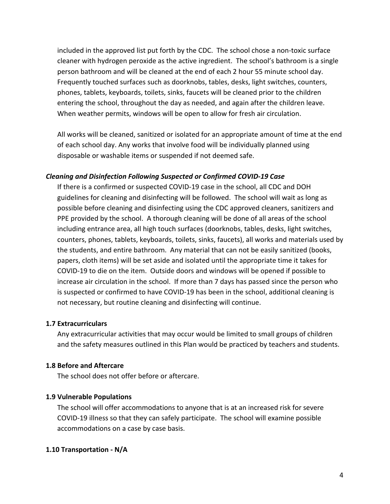included in the approved list put forth by the CDC. The school chose a non-toxic surface cleaner with hydrogen peroxide as the active ingredient. The school's bathroom is a single person bathroom and will be cleaned at the end of each 2 hour 55 minute school day. Frequently touched surfaces such as doorknobs, tables, desks, light switches, counters, phones, tablets, keyboards, toilets, sinks, faucets will be cleaned prior to the children entering the school, throughout the day as needed, and again after the children leave. When weather permits, windows will be open to allow for fresh air circulation.

All works will be cleaned, sanitized or isolated for an appropriate amount of time at the end of each school day. Any works that involve food will be individually planned using disposable or washable items or suspended if not deemed safe.

### *Cleaning and Disinfection Following Suspected or Confirmed COVID-19 Case*

If there is a confirmed or suspected COVID-19 case in the school, all CDC and DOH guidelines for cleaning and disinfecting will be followed. The school will wait as long as possible before cleaning and disinfecting using the CDC approved cleaners, sanitizers and PPE provided by the school. A thorough cleaning will be done of all areas of the school including entrance area, all high touch surfaces (doorknobs, tables, desks, light switches, counters, phones, tablets, keyboards, toilets, sinks, faucets), all works and materials used by the students, and entire bathroom. Any material that can not be easily sanitized (books, papers, cloth items) will be set aside and isolated until the appropriate time it takes for COVID-19 to die on the item. Outside doors and windows will be opened if possible to increase air circulation in the school. If more than 7 days has passed since the person who is suspected or confirmed to have COVID-19 has been in the school, additional cleaning is not necessary, but routine cleaning and disinfecting will continue.

#### **1.7 Extracurriculars**

Any extracurricular activities that may occur would be limited to small groups of children and the safety measures outlined in this Plan would be practiced by teachers and students.

#### **1.8 Before and Aftercare**

The school does not offer before or aftercare.

#### **1.9 Vulnerable Populations**

The school will offer accommodations to anyone that is at an increased risk for severe COVID-19 illness so that they can safely participate. The school will examine possible accommodations on a case by case basis.

### **1.10 Transportation - N/A**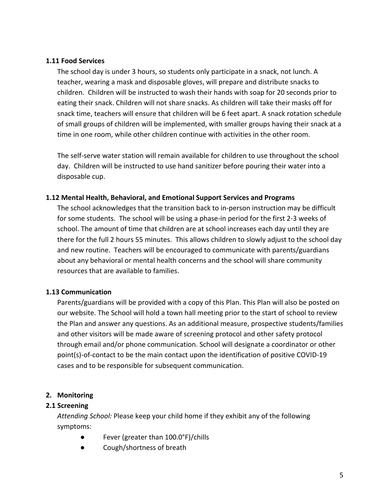#### **1.11 Food Services**

The school day is under 3 hours, so students only participate in a snack, not lunch. A teacher, wearing a mask and disposable gloves, will prepare and distribute snacks to children. Children will be instructed to wash their hands with soap for 20 seconds prior to eating their snack. Children will not share snacks. As children will take their masks off for snack time, teachers will ensure that children will be 6 feet apart. A snack rotation schedule of small groups of children will be implemented, with smaller groups having their snack at a time in one room, while other children continue with activities in the other room.

The self-serve water station will remain available for children to use throughout the school day. Children will be instructed to use hand sanitizer before pouring their water into a disposable cup.

#### **1.12 Mental Health, Behavioral, and Emotional Support Services and Programs**

The school acknowledges that the transition back to in-person instruction may be difficult for some students. The school will be using a phase-in period for the first 2-3 weeks of school. The amount of time that children are at school increases each day until they are there for the full 2 hours 55 minutes. This allows children to slowly adjust to the school day and new routine. Teachers will be encouraged to communicate with parents/guardians about any behavioral or mental health concerns and the school will share community resources that are available to families.

### **1.13 Communication**

Parents/guardians will be provided with a copy of this Plan. This Plan will also be posted on our website. The School will hold a town hall meeting prior to the start of school to review the Plan and answer any questions. As an additional measure, prospective students/families and other visitors will be made aware of screening protocol and other safety protocol through email and/or phone communication. School will designate a coordinator or other point(s)-of-contact to be the main contact upon the identification of positive COVID-19 cases and to be responsible for subsequent communication.

### **2. Monitoring**

### **2.1 Screening**

*Attending School:* Please keep your child home if they exhibit any of the following symptoms:

- Fever (greater than 100.0°F)/chills
- Cough/shortness of breath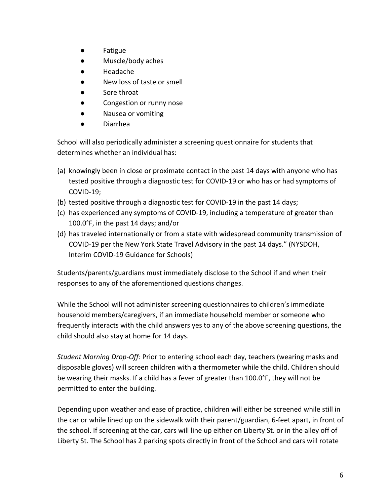- Fatigue
- Muscle/body aches
- Headache
- New loss of taste or smell
- Sore throat
- Congestion or runny nose
- Nausea or vomiting
- Diarrhea

School will also periodically administer a screening questionnaire for students that determines whether an individual has:

- (a) knowingly been in close or proximate contact in the past 14 days with anyone who has tested positive through a diagnostic test for COVID-19 or who has or had symptoms of COVID-19;
- (b) tested positive through a diagnostic test for COVID-19 in the past 14 days;
- (c) has experienced any symptoms of COVID-19, including a temperature of greater than 100.0°F, in the past 14 days; and/or
- (d) has traveled internationally or from a state with widespread community transmission of COVID-19 per the New York State Travel Advisory in the past 14 days." (NYSDOH, Interim COVID-19 Guidance for Schools)

Students/parents/guardians must immediately disclose to the School if and when their responses to any of the aforementioned questions changes.

While the School will not administer screening questionnaires to children's immediate household members/caregivers, if an immediate household member or someone who frequently interacts with the child answers yes to any of the above screening questions, the child should also stay at home for 14 days.

*Student Morning Drop-Off:* Prior to entering school each day, teachers (wearing masks and disposable gloves) will screen children with a thermometer while the child. Children should be wearing their masks. If a child has a fever of greater than 100.0°F, they will not be permitted to enter the building.

Depending upon weather and ease of practice, children will either be screened while still in the car or while lined up on the sidewalk with their parent/guardian, 6-feet apart, in front of the school. If screening at the car, cars will line up either on Liberty St. or in the alley off of Liberty St. The School has 2 parking spots directly in front of the School and cars will rotate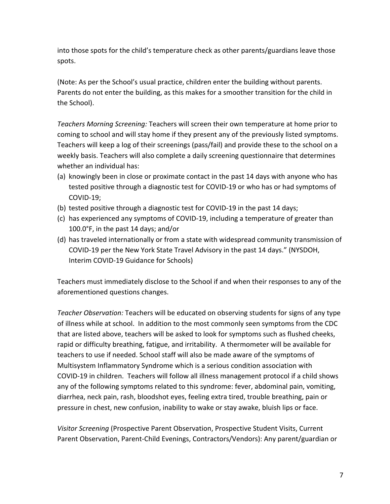into those spots for the child's temperature check as other parents/guardians leave those spots.

(Note: As per the School's usual practice, children enter the building without parents. Parents do not enter the building, as this makes for a smoother transition for the child in the School).

*Teachers Morning Screening:* Teachers will screen their own temperature at home prior to coming to school and will stay home if they present any of the previously listed symptoms. Teachers will keep a log of their screenings (pass/fail) and provide these to the school on a weekly basis. Teachers will also complete a daily screening questionnaire that determines whether an individual has:

- (a) knowingly been in close or proximate contact in the past 14 days with anyone who has tested positive through a diagnostic test for COVID-19 or who has or had symptoms of COVID-19;
- (b) tested positive through a diagnostic test for COVID-19 in the past 14 days;
- (c) has experienced any symptoms of COVID-19, including a temperature of greater than 100.0°F, in the past 14 days; and/or
- (d) has traveled internationally or from a state with widespread community transmission of COVID-19 per the New York State Travel Advisory in the past 14 days." (NYSDOH, Interim COVID-19 Guidance for Schools)

Teachers must immediately disclose to the School if and when their responses to any of the aforementioned questions changes.

*Teacher Observation:* Teachers will be educated on observing students for signs of any type of illness while at school. In addition to the most commonly seen symptoms from the CDC that are listed above, teachers will be asked to look for symptoms such as flushed cheeks, rapid or difficulty breathing, fatigue, and irritability. A thermometer will be available for teachers to use if needed. School staff will also be made aware of the symptoms of Multisystem Inflammatory Syndrome which is a serious condition association with COVID-19 in children. Teachers will follow all illness management protocol if a child shows any of the following symptoms related to this syndrome: fever, abdominal pain, vomiting, diarrhea, neck pain, rash, bloodshot eyes, feeling extra tired, trouble breathing, pain or pressure in chest, new confusion, inability to wake or stay awake, bluish lips or face.

*Visitor Screening* (Prospective Parent Observation, Prospective Student Visits, Current Parent Observation, Parent-Child Evenings, Contractors/Vendors): Any parent/guardian or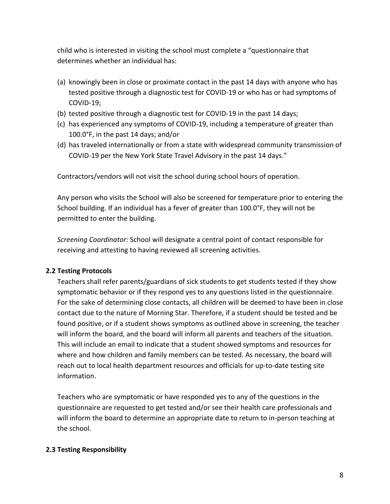child who is interested in visiting the school must complete a "questionnaire that determines whether an individual has:

- (a) knowingly been in close or proximate contact in the past 14 days with anyone who has tested positive through a diagnostic test for COVID-19 or who has or had symptoms of COVID-19;
- (b) tested positive through a diagnostic test for COVID-19 in the past 14 days;
- (c) has experienced any symptoms of COVID-19, including a temperature of greater than 100.0°F, in the past 14 days; and/or
- (d) has traveled internationally or from a state with widespread community transmission of COVID-19 per the New York State Travel Advisory in the past 14 days."

Contractors/vendors will not visit the school during school hours of operation.

Any person who visits the School will also be screened for temperature prior to entering the School building. If an individual has a fever of greater than 100.0°F, they will not be permitted to enter the building.

*Screening Coordinator*: School will designate a central point of contact responsible for receiving and attesting to having reviewed all screening activities.

### **2.2 Testing Protocols**

Teachers shall refer parents/guardians of sick students to get students tested if they show symptomatic behavior or if they respond yes to any questions listed in the questionnaire. For the sake of determining close contacts, all children will be deemed to have been in close contact due to the nature of Morning Star. Therefore, if a student should be tested and be found positive, or if a student shows symptoms as outlined above in screening, the teacher will inform the board, and the board will inform all parents and teachers of the situation. This will include an email to indicate that a student showed symptoms and resources for where and how children and family members can be tested. As necessary, the board will reach out to local health department resources and officials for up-to-date testing site information.

Teachers who are symptomatic or have responded yes to any of the questions in the questionnaire are requested to get tested and/or see their health care professionals and will inform the board to determine an appropriate date to return to in-person teaching at the school.

## **2.3 Testing Responsibility**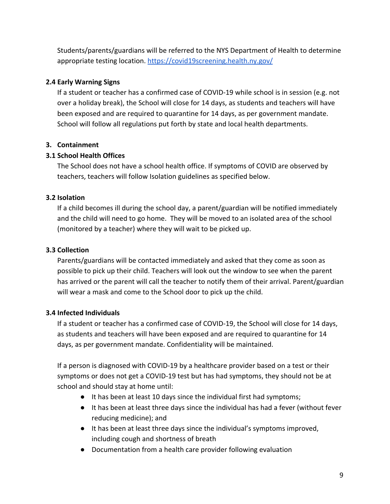Students/parents/guardians will be referred to the NYS Department of Health to determine appropriate testing location. <https://covid19screening.health.ny.gov/>

## **2.4 Early Warning Signs**

If a student or teacher has a confirmed case of COVID-19 while school is in session (e.g. not over a holiday break), the School will close for 14 days, as students and teachers will have been exposed and are required to quarantine for 14 days, as per government mandate. School will follow all regulations put forth by state and local health departments.

# **3. Containment**

## **3.1 School Health Offices**

The School does not have a school health office. If symptoms of COVID are observed by teachers, teachers will follow Isolation guidelines as specified below.

# **3.2 Isolation**

If a child becomes ill during the school day, a parent/guardian will be notified immediately and the child will need to go home. They will be moved to an isolated area of the school (monitored by a teacher) where they will wait to be picked up.

# **3.3 Collection**

Parents/guardians will be contacted immediately and asked that they come as soon as possible to pick up their child. Teachers will look out the window to see when the parent has arrived or the parent will call the teacher to notify them of their arrival. Parent/guardian will wear a mask and come to the School door to pick up the child.

## **3.4 Infected Individuals**

If a student or teacher has a confirmed case of COVID-19, the School will close for 14 days, as students and teachers will have been exposed and are required to quarantine for 14 days, as per government mandate. Confidentiality will be maintained.

If a person is diagnosed with COVID-19 by a healthcare provider based on a test or their symptoms or does not get a COVID-19 test but has had symptoms, they should not be at school and should stay at home until:

- It has been at least 10 days since the individual first had symptoms;
- It has been at least three days since the individual has had a fever (without fever reducing medicine); and
- It has been at least three days since the individual's symptoms improved, including cough and shortness of breath
- Documentation from a health care provider following evaluation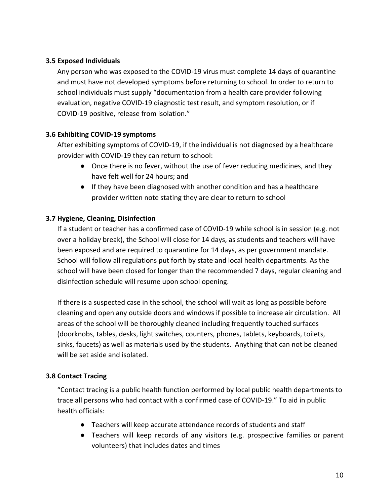### **3.5 Exposed Individuals**

Any person who was exposed to the COVID-19 virus must complete 14 days of quarantine and must have not developed symptoms before returning to school. In order to return to school individuals must supply "documentation from a health care provider following evaluation, negative COVID-19 diagnostic test result, and symptom resolution, or if COVID-19 positive, release from isolation."

## **3.6 Exhibiting COVID-19 symptoms**

After exhibiting symptoms of COVID-19, if the individual is not diagnosed by a healthcare provider with COVID-19 they can return to school:

- Once there is no fever, without the use of fever reducing medicines, and they have felt well for 24 hours; and
- If they have been diagnosed with another condition and has a healthcare provider written note stating they are clear to return to school

### **3.7 Hygiene, Cleaning, Disinfection**

If a student or teacher has a confirmed case of COVID-19 while school is in session (e.g. not over a holiday break), the School will close for 14 days, as students and teachers will have been exposed and are required to quarantine for 14 days, as per government mandate. School will follow all regulations put forth by state and local health departments. As the school will have been closed for longer than the recommended 7 days, regular cleaning and disinfection schedule will resume upon school opening.

If there is a suspected case in the school, the school will wait as long as possible before cleaning and open any outside doors and windows if possible to increase air circulation. All areas of the school will be thoroughly cleaned including frequently touched surfaces (doorknobs, tables, desks, light switches, counters, phones, tablets, keyboards, toilets, sinks, faucets) as well as materials used by the students. Anything that can not be cleaned will be set aside and isolated.

## **3.8 Contact Tracing**

"Contact tracing is a public health function performed by local public health departments to trace all persons who had contact with a confirmed case of COVID-19." To aid in public health officials:

- Teachers will keep accurate attendance records of students and staff
- Teachers will keep records of any visitors (e.g. prospective families or parent volunteers) that includes dates and times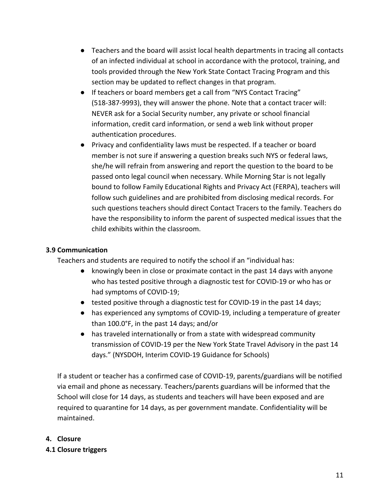- Teachers and the board will assist local health departments in tracing all contacts of an infected individual at school in accordance with the protocol, training, and tools provided through the New York State Contact Tracing Program and this section may be updated to reflect changes in that program.
- If teachers or board members get a call from "NYS Contact Tracing" (518-387-9993), they will answer the phone. Note that a contact tracer will: NEVER ask for a Social Security number, any private or school financial information, credit card information, or send a web link without proper authentication procedures.
- Privacy and confidentiality laws must be respected. If a teacher or board member is not sure if answering a question breaks such NYS or federal laws, she/he will refrain from answering and report the question to the board to be passed onto legal council when necessary. While Morning Star is not legally bound to follow Family Educational Rights and Privacy Act (FERPA), teachers will follow such guidelines and are prohibited from disclosing medical records. For such questions teachers should direct Contact Tracers to the family. Teachers do have the responsibility to inform the parent of suspected medical issues that the child exhibits within the classroom.

### **3.9 Communication**

Teachers and students are required to notify the school if an "individual has:

- knowingly been in close or proximate contact in the past 14 days with anyone who has tested positive through a diagnostic test for COVID-19 or who has or had symptoms of COVID-19;
- tested positive through a diagnostic test for COVID-19 in the past 14 days;
- has experienced any symptoms of COVID-19, including a temperature of greater than 100.0°F, in the past 14 days; and/or
- has traveled internationally or from a state with widespread community transmission of COVID-19 per the New York State Travel Advisory in the past 14 days." (NYSDOH, Interim COVID-19 Guidance for Schools)

If a student or teacher has a confirmed case of COVID-19, parents/guardians will be notified via email and phone as necessary. Teachers/parents guardians will be informed that the School will close for 14 days, as students and teachers will have been exposed and are required to quarantine for 14 days, as per government mandate. Confidentiality will be maintained.

### **4. Closure**

**4.1 Closure triggers**